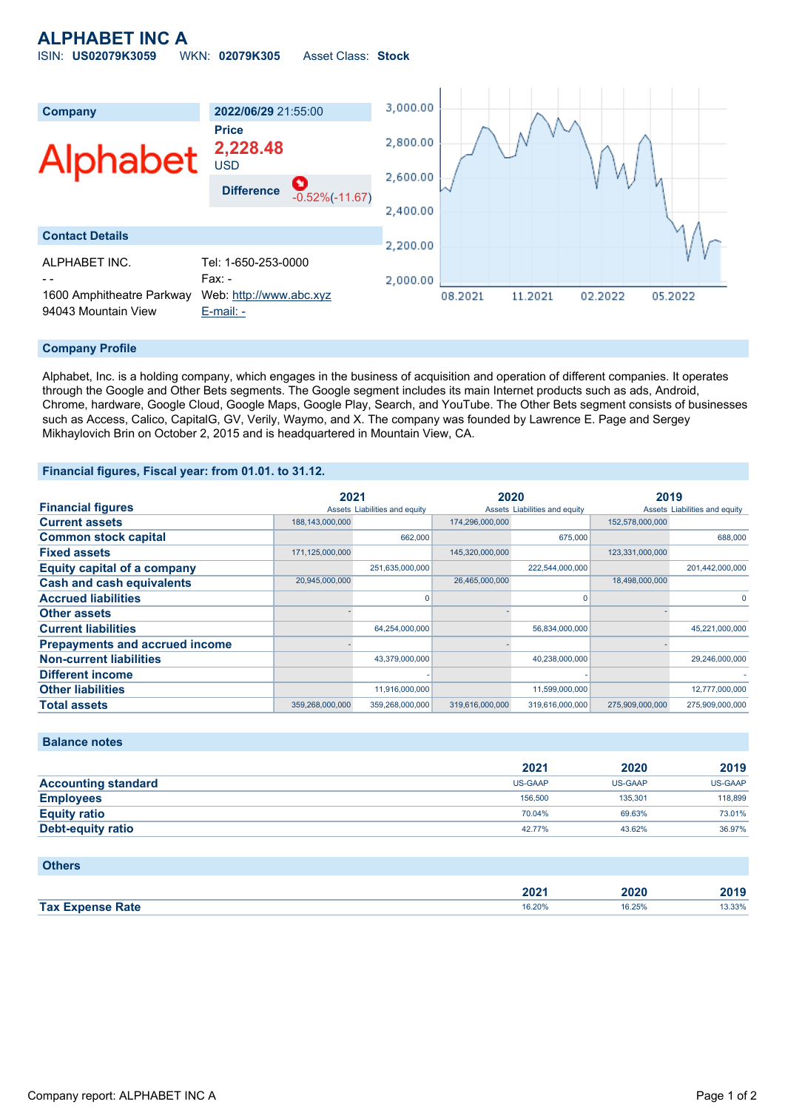# **ALPHABET INC A** ISIN: **US02079K3059** WKN: **02079K305** Asset Class: **Stock**



## **Company Profile**

Alphabet, Inc. is a holding company, which engages in the business of acquisition and operation of different companies. It operates through the Google and Other Bets segments. The Google segment includes its main Internet products such as ads, Android, Chrome, hardware, Google Cloud, Google Maps, Google Play, Search, and YouTube. The Other Bets segment consists of businesses such as Access, Calico, CapitalG, GV, Verily, Waymo, and X. The company was founded by Lawrence E. Page and Sergey Mikhaylovich Brin on October 2, 2015 and is headquartered in Mountain View, CA.

## **Financial figures, Fiscal year: from 01.01. to 31.12.**

|                                       | 2021            |                               | 2020            |                               | 2019            |                               |
|---------------------------------------|-----------------|-------------------------------|-----------------|-------------------------------|-----------------|-------------------------------|
| <b>Financial figures</b>              |                 | Assets Liabilities and equity |                 | Assets Liabilities and equity |                 | Assets Liabilities and equity |
| <b>Current assets</b>                 | 188,143,000,000 |                               | 174,296,000,000 |                               | 152,578,000,000 |                               |
| <b>Common stock capital</b>           |                 | 662,000                       |                 | 675,000                       |                 | 688,000                       |
| <b>Fixed assets</b>                   | 171,125,000,000 |                               | 145,320,000,000 |                               | 123,331,000,000 |                               |
| <b>Equity capital of a company</b>    |                 | 251,635,000,000               |                 | 222,544,000,000               |                 | 201,442,000,000               |
| <b>Cash and cash equivalents</b>      | 20,945,000,000  |                               | 26,465,000,000  |                               | 18,498,000,000  |                               |
| <b>Accrued liabilities</b>            |                 |                               |                 | n                             |                 | 0                             |
| <b>Other assets</b>                   |                 |                               |                 |                               |                 |                               |
| <b>Current liabilities</b>            |                 | 64,254,000,000                |                 | 56,834,000,000                |                 | 45,221,000,000                |
| <b>Prepayments and accrued income</b> |                 |                               |                 |                               |                 |                               |
| <b>Non-current liabilities</b>        |                 | 43,379,000,000                |                 | 40,238,000,000                |                 | 29,246,000,000                |
| <b>Different income</b>               |                 |                               |                 |                               |                 |                               |
| <b>Other liabilities</b>              |                 | 11,916,000,000                |                 | 11,599,000,000                |                 | 12,777,000,000                |
| <b>Total assets</b>                   | 359,268,000,000 | 359,268,000,000               | 319,616,000,000 | 319,616,000,000               | 275,909,000,000 | 275,909,000,000               |

## **Balance notes**

|                            | 2021           | 2020           | 2019           |
|----------------------------|----------------|----------------|----------------|
| <b>Accounting standard</b> | <b>US-GAAP</b> | <b>US-GAAP</b> | <b>US-GAAP</b> |
| <b>Employees</b>           | 156,500        | 135.301        | 118,899        |
| <b>Equity ratio</b>        | 70.04%         | 69.63%         | 73.01%         |
| Debt-equity ratio          | 42.77%         | 43.62%         | 36.97%         |

### **Others**

|                         | רחר<br>ZUZ ' | 2020        | 2019  |
|-------------------------|--------------|-------------|-------|
| <b>Tax Expense Rate</b> | 16.20%<br>.  | 16.25%<br>. | 3.33% |